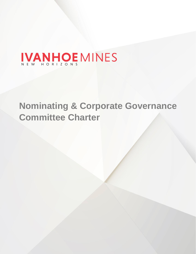# IVANHOE MINES

## **Nominating & Corporate Governance Committee Charter**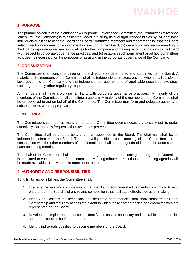## **IVANHOE**

### **1. PURPOSE**

The primary objective of the Nominating & Corporate Governance Committee (the Committee) of Ivanhoe Mines Ltd. (the Company) is to assist the Board in fulfilling its oversight responsibilities by (a) identifying individuals qualified to become Board and Board Committee members and recommending that the Board select director nominees for appointment or election to the Board; (b) developing and recommending to the Board corporate governance guidelines for the Company and making recommendations to the Board with respect to corporate governance practices; and (c) establish such permanent or ad hoc committees as it deems necessary for the purposes of assisting in the corporate governance of the Company.

#### **2. ORGANIZATION**

The Committee shall consist of three or more directors as determined and appointed by the Board. A majority of the members of the Committee shall be independent directors, each of whom shall satisfy the laws governing the Company and the independence requirements of applicable securities law, stock exchange and any other regulatory requirements.

All members shall have a working familiarity with corporate governance practices. A majority of the members of the Committee shall constitute a quorum. A majority of the members of the Committee shall be empowered to act on behalf of the Committee. The Committee may form and delegate authority to subcommittees when appropriate.

#### **3. MEETINGS**

The Committee shall meet as many times as the Committee deems necessary to carry out its duties effectively, but not less frequently than two times per year.

The Committee shall be chaired by a chairman appointed by the Board. The chairman shall be an independent director of the Board. The chair will preside at each meeting of the Committee and, in consultation with the other members of the Committee, shall set the agenda of items to be addressed at each upcoming meeting.

The chair of the Committee shall ensure that the agenda for each upcoming meeting of the Committee is circulated to each member of the Committee. Meeting minutes, resolutions and meeting agendas will be made available to individual directors upon request.

#### **4. AUTHORITY AND RESPONSIBILITIES**

To fulfill its responsibilities, the Committee shall:

- 1. Examine the size and composition of the Board and recommend adjustments from time to time to ensure that the Board is of a size and composition that facilitates effective decision making.
- 2. Identify and assess the necessary and desirable competencies and characteristics for Board membership and regularly assess the extent to which those competencies and characteristics are represented on the Board.
- 3. Develop and implement processes to identify and assess necessary and desirable competencies and characteristics for Board members.
- 4. Identify individuals qualified to become members of the Board.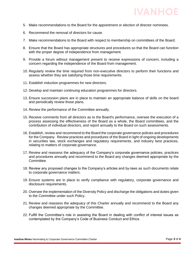

- 5. Make recommendations to the Board for the appointment or election of director nominees.
- 6. Recommend the removal of directors for cause.
- 7. Make recommendations to the Board with respect to membership on committees of the Board.
- 8. Ensure that the Board has appropriate structures and procedures so that the Board can function with the proper degree of independence from management.
- 9. Provide a forum without management present to receive expressions of concern, including a concern regarding the independence of the Board from management.
- 10. Regularly review the time required from non-executive directors to perform their functions and assess whether they are satisfying those time requirements.
- 11. Establish induction programmes for new directors.
- 12. Develop and maintain continuing education programmes for directors.
- 13. Ensure succession plans are in place to maintain an appropriate balance of skills on the board and periodically review those plans.
- 14. Review the performance of the Committee annually.
- 15. Receive comments from all directors as to the Board's performance, oversee the execution of a process assessing the effectiveness of the Board as a whole, the Board committees, and the contribution of individual directors, and report annually to the Board on such assessments.
- 16. Establish, review and recommend to the Board the corporate governance policies and procedures for the Company. Review practices and procedures of the Board in light of ongoing developments in securities law, stock exchanges and regulatory requirements, and industry best practices, relating to matters of corporate governance.
- 17. Review and reassess the adequacy of the Company's corporate governance policies, practices and procedures annually and recommend to the Board any changes deemed appropriate by the Committee.
- 18. Review any proposed changes to the Company's articles and by-laws as such documents relate to corporate governance matters.
- 19. Ensure systems are in place to verify compliance with regulatory, corporate governance and disclosure requirements.
- 20. Oversee the implementation of the Diversity Policy and discharge the obligations and duties given to the Committee under such Policy.
- 21. Review and reassess the adequacy of this Charter annually and recommend to the Board any changes deemed appropriate by the Committee.
- 22. Fulfill the Committee's role in assisting the Board in dealing with conflict of interest issues as contemplated by the Company's Code of Business Conduct and Ethics.